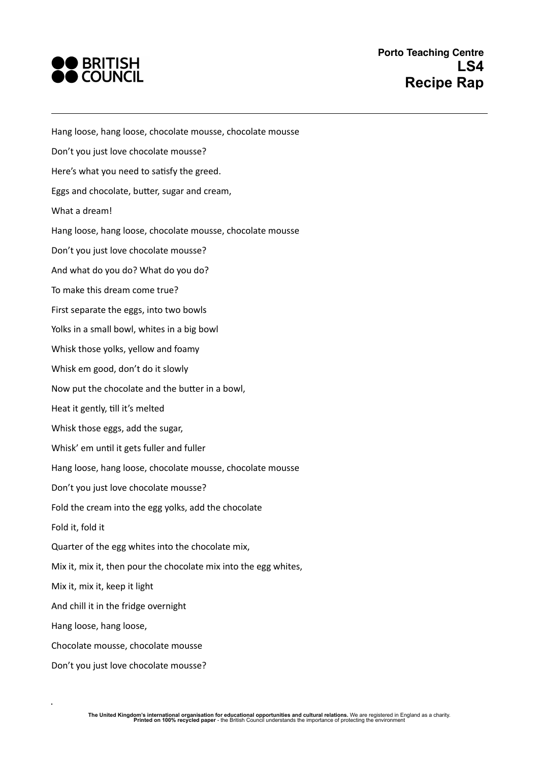

Hang loose, hang loose, chocolate mousse, chocolate mousse Don't you just love chocolate mousse? Here's what you need to satisfy the greed. Eggs and chocolate, butter, sugar and cream, What a dream! Hang loose, hang loose, chocolate mousse, chocolate mousse Don't you just love chocolate mousse? And what do you do? What do you do? To make this dream come true? First separate the eggs, into two bowls Yolks in a small bowl, whites in a big bowl Whisk those yolks, yellow and foamy Whisk em good, don't do it slowly Now put the chocolate and the butter in a bowl, Heat it gently, till it's melted Whisk those eggs, add the sugar, Whisk' em until it gets fuller and fuller Hang loose, hang loose, chocolate mousse, chocolate mousse Don't you just love chocolate mousse? Fold the cream into the egg yolks, add the chocolate Fold it, fold it Quarter of the egg whites into the chocolate mix, Mix it, mix it, then pour the chocolate mix into the egg whites, Mix it, mix it, keep it light And chill it in the fridge overnight Hang loose, hang loose, Chocolate mousse, chocolate mousse Don't you just love chocolate mousse?